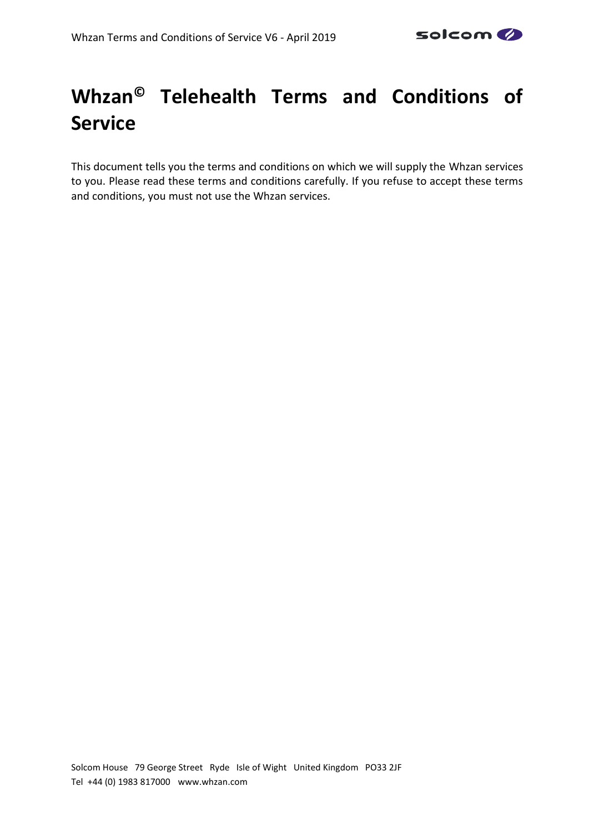# **Whzan© Telehealth Terms and Conditions of Service**

This document tells you the terms and conditions on which we will supply the Whzan services to you. Please read these terms and conditions carefully. If you refuse to accept these terms and conditions, you must not use the Whzan services.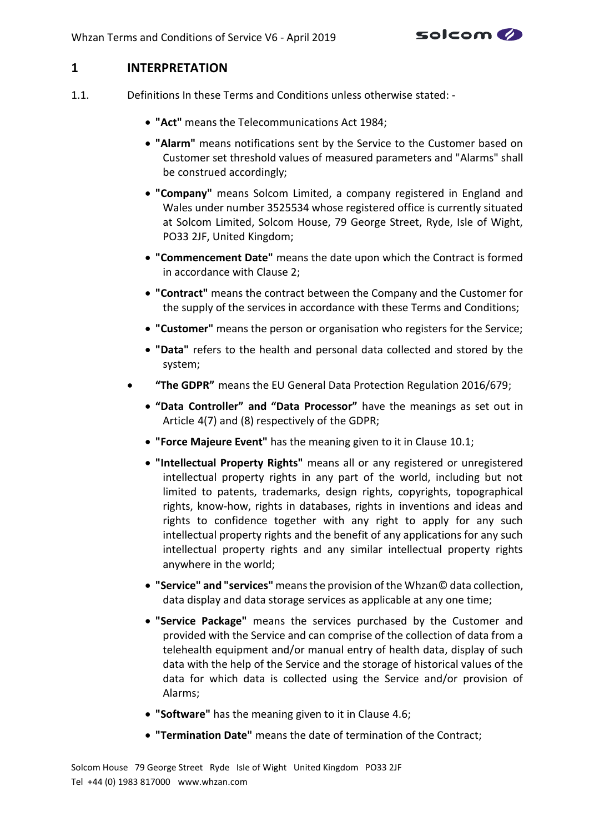

# **1 INTERPRETATION**

- 1.1. Definitions In these Terms and Conditions unless otherwise stated:
	- **"Act"** means the Telecommunications Act 1984;
	- **"Alarm"** means notifications sent by the Service to the Customer based on Customer set threshold values of measured parameters and "Alarms" shall be construed accordingly;
	- **"Company"** means Solcom Limited, a company registered in England and Wales under number 3525534 whose registered office is currently situated at Solcom Limited, Solcom House, 79 George Street, Ryde, Isle of Wight, PO33 2JF, United Kingdom;
	- **"Commencement Date"** means the date upon which the Contract is formed in accordance with Clause [2;](#page-3-0)
	- **"Contract"** means the contract between the Company and the Customer for the supply of the services in accordance with these Terms and Conditions;
	- **"Customer"** means the person or organisation who registers for the Service;
	- **"Data"** refers to the health and personal data collected and stored by the system;
	- **"The GDPR"** means the EU General Data Protection Regulation 2016/679;
		- **"Data Controller" and "Data Processor"** have the meanings as set out in Article 4(7) and (8) respectively of the GDPR;
		- **"Force Majeure Event"** has the meaning given to it in Clause [10.1;](#page-15-0)
		- **"Intellectual Property Rights"** means all or any registered or unregistered intellectual property rights in any part of the world, including but not limited to patents, trademarks, design rights, copyrights, topographical rights, know-how, rights in databases, rights in inventions and ideas and rights to confidence together with any right to apply for any such intellectual property rights and the benefit of any applications for any such intellectual property rights and any similar intellectual property rights anywhere in the world;
		- **"Service" and "services"** means the provision of the Whzan© data collection, data display and data storage services as applicable at any one time;
		- **"Service Package"** means the services purchased by the Customer and provided with the Service and can comprise of the collection of data from a telehealth equipment and/or manual entry of health data, display of such data with the help of the Service and the storage of historical values of the data for which data is collected using the Service and/or provision of Alarms;
		- **"Software"** has the meaning given to it in Clause [4.6;](#page-7-0)
		- **"Termination Date"** means the date of termination of the Contract;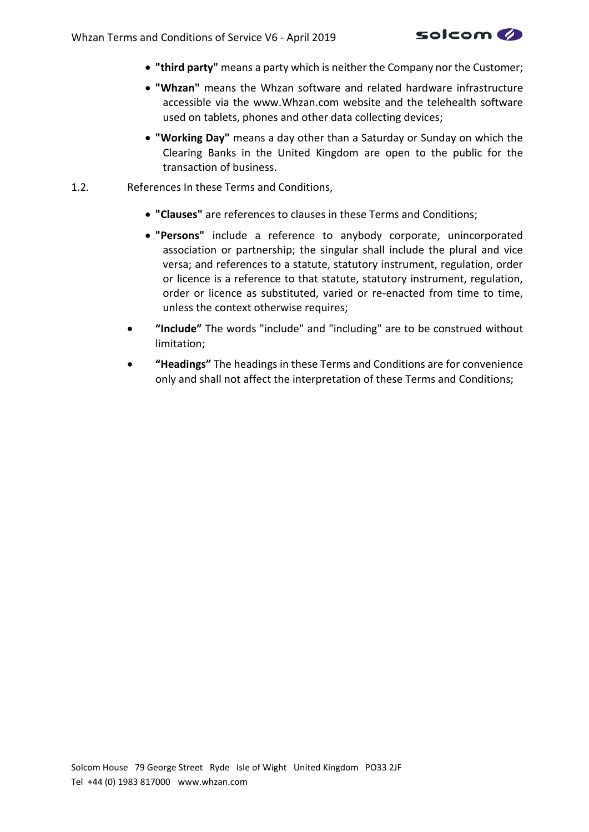

- **"third party"** means a party which is neither the Company nor the Customer;
- **"Whzan"** means the Whzan software and related hardware infrastructure accessible via the www.Whzan.com website and the telehealth software used on tablets, phones and other data collecting devices;
- **"Working Day"** means a day other than a Saturday or Sunday on which the Clearing Banks in the United Kingdom are open to the public for the transaction of business.
- 1.2. References In these Terms and Conditions,
	- **"Clauses"** are references to clauses in these Terms and Conditions;
	- **"Persons"** include a reference to anybody corporate, unincorporated association or partnership; the singular shall include the plural and vice versa; and references to a statute, statutory instrument, regulation, order or licence is a reference to that statute, statutory instrument, regulation, order or licence as substituted, varied or re-enacted from time to time, unless the context otherwise requires;
	- **"Include"** The words "include" and "including" are to be construed without limitation;
	- **"Headings"** The headings in these Terms and Conditions are for convenience only and shall not affect the interpretation of these Terms and Conditions;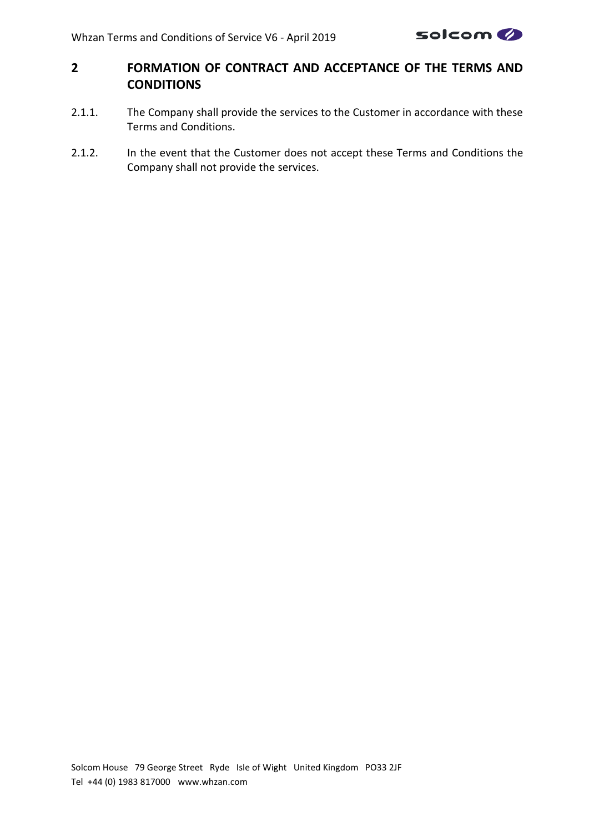

# <span id="page-3-0"></span>**2 FORMATION OF CONTRACT AND ACCEPTANCE OF THE TERMS AND CONDITIONS**

- 2.1.1. The Company shall provide the services to the Customer in accordance with these Terms and Conditions.
- 2.1.2. In the event that the Customer does not accept these Terms and Conditions the Company shall not provide the services.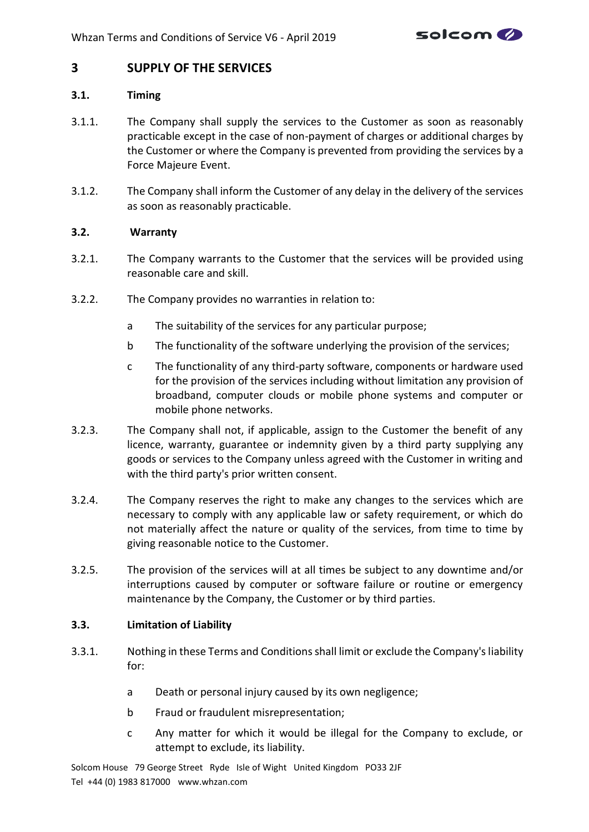

# **3 SUPPLY OF THE SERVICES**

#### **3.1. Timing**

- 3.1.1. The Company shall supply the services to the Customer as soon as reasonably practicable except in the case of non-payment of charges or additional charges by the Customer or where the Company is prevented from providing the services by a Force Majeure Event.
- 3.1.2. The Company shall inform the Customer of any delay in the delivery of the services as soon as reasonably practicable.

#### **3.2. Warranty**

- <span id="page-4-0"></span>3.2.1. The Company warrants to the Customer that the services will be provided using reasonable care and skill.
- 3.2.2. The Company provides no warranties in relation to:
	- a The suitability of the services for any particular purpose;
	- b The functionality of the software underlying the provision of the services;
	- c The functionality of any third-party software, components or hardware used for the provision of the services including without limitation any provision of broadband, computer clouds or mobile phone systems and computer or mobile phone networks.
- 3.2.3. The Company shall not, if applicable, assign to the Customer the benefit of any licence, warranty, guarantee or indemnity given by a third party supplying any goods or services to the Company unless agreed with the Customer in writing and with the third party's prior written consent.
- 3.2.4. The Company reserves the right to make any changes to the services which are necessary to comply with any applicable law or safety requirement, or which do not materially affect the nature or quality of the services, from time to time by giving reasonable notice to the Customer.
- 3.2.5. The provision of the services will at all times be subject to any downtime and/or interruptions caused by computer or software failure or routine or emergency maintenance by the Company, the Customer or by third parties.

#### **3.3. Limitation of Liability**

- 3.3.1. Nothing in these Terms and Conditions shall limit or exclude the Company's liability for:
	- a Death or personal injury caused by its own negligence;
	- b Fraud or fraudulent misrepresentation;
	- c Any matter for which it would be illegal for the Company to exclude, or attempt to exclude, its liability.

Solcom House 79 George Street Ryde Isle of Wight United Kingdom PO33 2JF Tel +44 (0) 1983 817000 www.whzan.com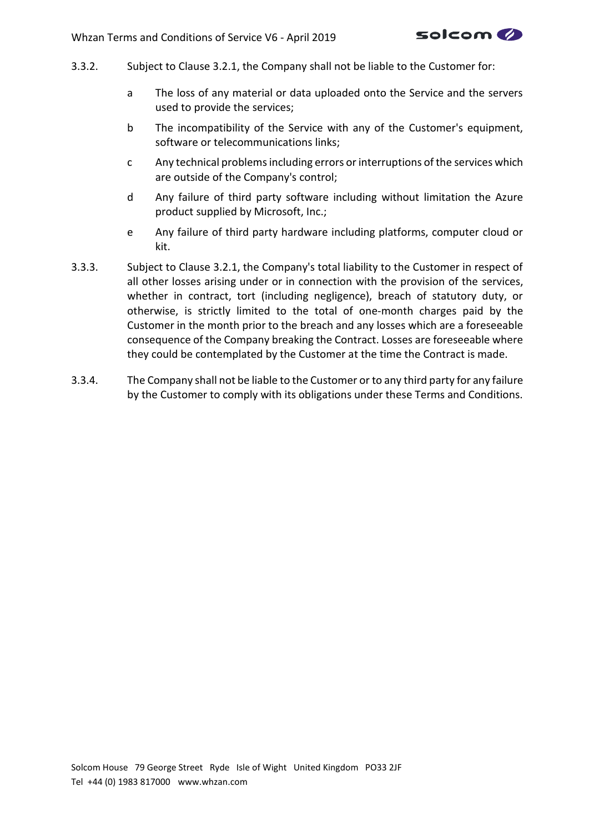

- 3.3.2. Subject to Clause [3.2.1,](#page-4-0) the Company shall not be liable to the Customer for:
	- a The loss of any material or data uploaded onto the Service and the servers used to provide the services;
	- b The incompatibility of the Service with any of the Customer's equipment, software or telecommunications links;
	- c Any technical problems including errors or interruptions of the services which are outside of the Company's control;
	- d Any failure of third party software including without limitation the Azure product supplied by Microsoft, Inc.;
	- e Any failure of third party hardware including platforms, computer cloud or kit.
- 3.3.3. Subject to Clause [3.2.1,](#page-4-0) the Company's total liability to the Customer in respect of all other losses arising under or in connection with the provision of the services, whether in contract, tort (including negligence), breach of statutory duty, or otherwise, is strictly limited to the total of one-month charges paid by the Customer in the month prior to the breach and any losses which are a foreseeable consequence of the Company breaking the Contract. Losses are foreseeable where they could be contemplated by the Customer at the time the Contract is made.
- 3.3.4. The Company shall not be liable to the Customer or to any third party for any failure by the Customer to comply with its obligations under these Terms and Conditions.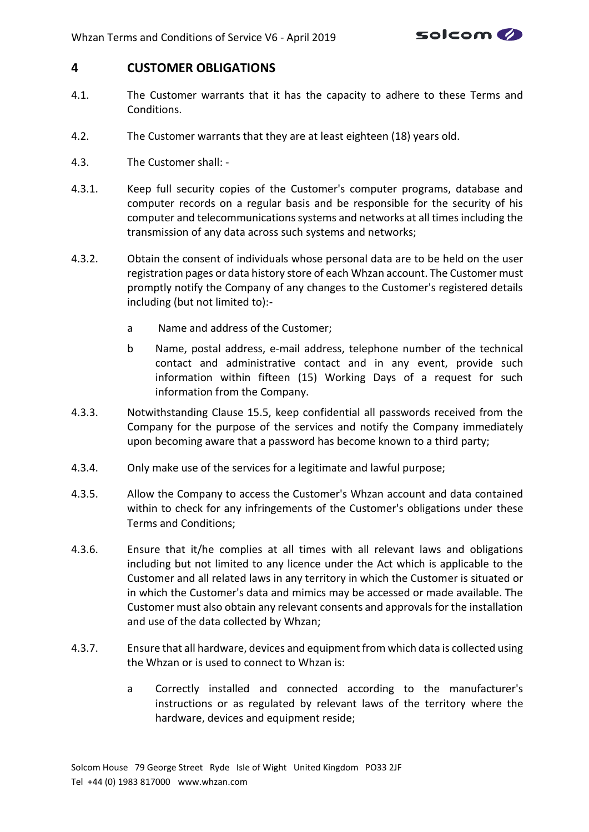

# <span id="page-6-0"></span>**4 CUSTOMER OBLIGATIONS**

- 4.1. The Customer warrants that it has the capacity to adhere to these Terms and Conditions.
- 4.2. The Customer warrants that they are at least eighteen (18) years old.
- 4.3. The Customer shall: -
- 4.3.1. Keep full security copies of the Customer's computer programs, database and computer records on a regular basis and be responsible for the security of his computer and telecommunications systems and networks at all times including the transmission of any data across such systems and networks;
- 4.3.2. Obtain the consent of individuals whose personal data are to be held on the user registration pages or data history store of each Whzan account. The Customer must promptly notify the Company of any changes to the Customer's registered details including (but not limited to):
	- a Name and address of the Customer;
	- b Name, postal address, e-mail address, telephone number of the technical contact and administrative contact and in any event, provide such information within fifteen (15) Working Days of a request for such information from the Company.
- 4.3.3. Notwithstanding Clause [15.5,](#page-20-0) keep confidential all passwords received from the Company for the purpose of the services and notify the Company immediately upon becoming aware that a password has become known to a third party;
- 4.3.4. Only make use of the services for a legitimate and lawful purpose;
- 4.3.5. Allow the Company to access the Customer's Whzan account and data contained within to check for any infringements of the Customer's obligations under these Terms and Conditions;
- 4.3.6. Ensure that it/he complies at all times with all relevant laws and obligations including but not limited to any licence under the Act which is applicable to the Customer and all related laws in any territory in which the Customer is situated or in which the Customer's data and mimics may be accessed or made available. The Customer must also obtain any relevant consents and approvals for the installation and use of the data collected by Whzan;
- 4.3.7. Ensure that all hardware, devices and equipment from which data is collected using the Whzan or is used to connect to Whzan is:
	- a Correctly installed and connected according to the manufacturer's instructions or as regulated by relevant laws of the territory where the hardware, devices and equipment reside;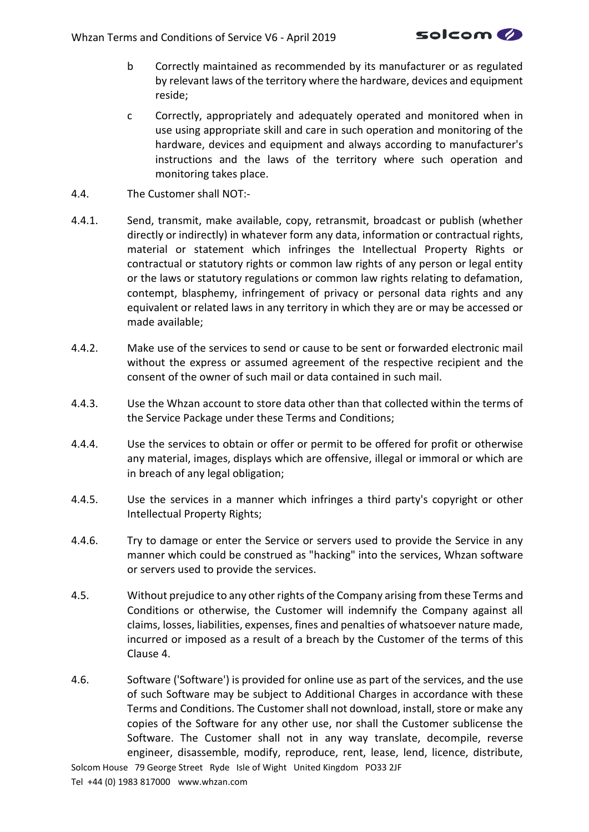

- b Correctly maintained as recommended by its manufacturer or as regulated by relevant laws of the territory where the hardware, devices and equipment reside;
- c Correctly, appropriately and adequately operated and monitored when in use using appropriate skill and care in such operation and monitoring of the hardware, devices and equipment and always according to manufacturer's instructions and the laws of the territory where such operation and monitoring takes place.
- 4.4. The Customer shall NOT:-
- 4.4.1. Send, transmit, make available, copy, retransmit, broadcast or publish (whether directly or indirectly) in whatever form any data, information or contractual rights, material or statement which infringes the Intellectual Property Rights or contractual or statutory rights or common law rights of any person or legal entity or the laws or statutory regulations or common law rights relating to defamation, contempt, blasphemy, infringement of privacy or personal data rights and any equivalent or related laws in any territory in which they are or may be accessed or made available;
- 4.4.2. Make use of the services to send or cause to be sent or forwarded electronic mail without the express or assumed agreement of the respective recipient and the consent of the owner of such mail or data contained in such mail.
- 4.4.3. Use the Whzan account to store data other than that collected within the terms of the Service Package under these Terms and Conditions;
- 4.4.4. Use the services to obtain or offer or permit to be offered for profit or otherwise any material, images, displays which are offensive, illegal or immoral or which are in breach of any legal obligation;
- 4.4.5. Use the services in a manner which infringes a third party's copyright or other Intellectual Property Rights;
- 4.4.6. Try to damage or enter the Service or servers used to provide the Service in any manner which could be construed as "hacking" into the services, Whzan software or servers used to provide the services.
- 4.5. Without prejudice to any other rights of the Company arising from these Terms and Conditions or otherwise, the Customer will indemnify the Company against all claims, losses, liabilities, expenses, fines and penalties of whatsoever nature made, incurred or imposed as a result of a breach by the Customer of the terms of this Clause [4.](#page-6-0)
- <span id="page-7-0"></span>4.6. Software ('Software') is provided for online use as part of the services, and the use of such Software may be subject to Additional Charges in accordance with these Terms and Conditions. The Customer shall not download, install, store or make any copies of the Software for any other use, nor shall the Customer sublicense the Software. The Customer shall not in any way translate, decompile, reverse engineer, disassemble, modify, reproduce, rent, lease, lend, licence, distribute,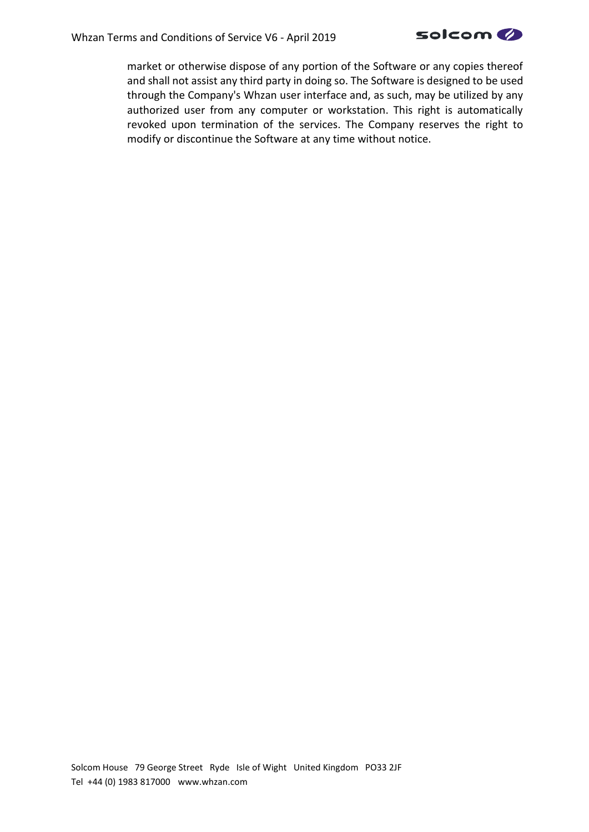

market or otherwise dispose of any portion of the Software or any copies thereof and shall not assist any third party in doing so. The Software is designed to be used through the Company's Whzan user interface and, as such, may be utilized by any authorized user from any computer or workstation. This right is automatically revoked upon termination of the services. The Company reserves the right to modify or discontinue the Software at any time without notice.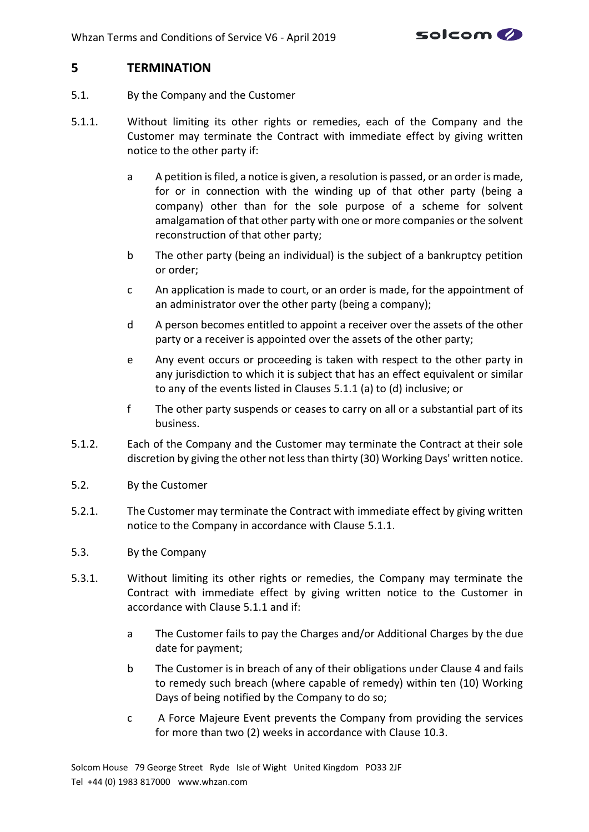

#### <span id="page-9-1"></span>**5 TERMINATION**

- 5.1. By the Company and the Customer
- <span id="page-9-0"></span>5.1.1. Without limiting its other rights or remedies, each of the Company and the Customer may terminate the Contract with immediate effect by giving written notice to the other party if:
	- a A petition is filed, a notice is given, a resolution is passed, or an order is made, for or in connection with the winding up of that other party (being a company) other than for the sole purpose of a scheme for solvent amalgamation of that other party with one or more companies or the solvent reconstruction of that other party;
	- b The other party (being an individual) is the subject of a bankruptcy petition or order;
	- c An application is made to court, or an order is made, for the appointment of an administrator over the other party (being a company);
	- d A person becomes entitled to appoint a receiver over the assets of the other party or a receiver is appointed over the assets of the other party;
	- e Any event occurs or proceeding is taken with respect to the other party in any jurisdiction to which it is subject that has an effect equivalent or similar to any of the events listed in Clauses [5.1.1](#page-9-0) (a) to (d) inclusive; or
	- f The other party suspends or ceases to carry on all or a substantial part of its business.
- 5.1.2. Each of the Company and the Customer may terminate the Contract at their sole discretion by giving the other not less than thirty (30) Working Days' written notice.
- 5.2. By the Customer
- 5.2.1. The Customer may terminate the Contract with immediate effect by giving written notice to the Company in accordance with Clause [5.1.1.](#page-9-0)
- 5.3. By the Company
- 5.3.1. Without limiting its other rights or remedies, the Company may terminate the Contract with immediate effect by giving written notice to the Customer in accordance with Clause [5.1.1](#page-9-0) and if:
	- a The Customer fails to pay the Charges and/or Additional Charges by the due date for payment;
	- b The Customer is in breach of any of their obligations under Claus[e 4](#page-6-0) and fails to remedy such breach (where capable of remedy) within ten (10) Working Days of being notified by the Company to do so;
	- c A Force Majeure Event prevents the Company from providing the services for more than two (2) weeks in accordance with Clause [10.3.](#page-15-1)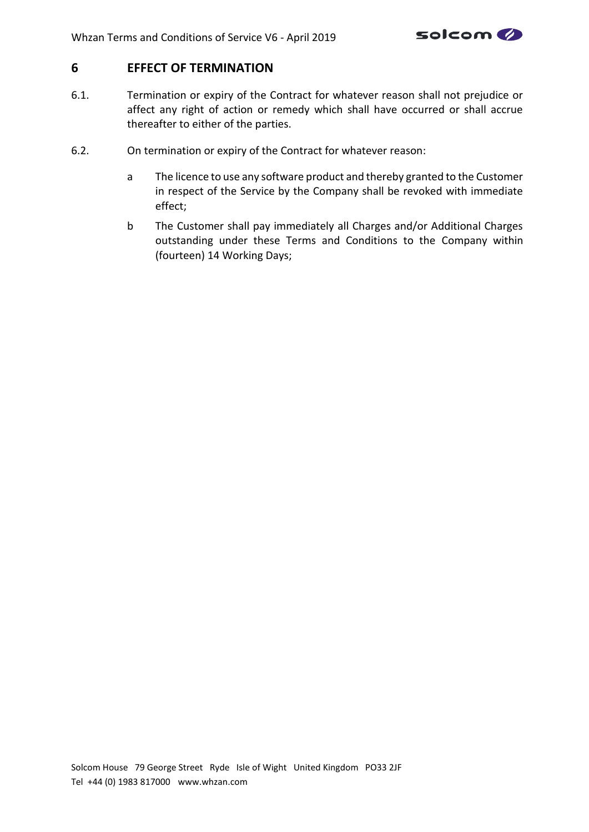

# **6 EFFECT OF TERMINATION**

- 6.1. Termination or expiry of the Contract for whatever reason shall not prejudice or affect any right of action or remedy which shall have occurred or shall accrue thereafter to either of the parties.
- 6.2. On termination or expiry of the Contract for whatever reason:
	- a The licence to use any software product and thereby granted to the Customer in respect of the Service by the Company shall be revoked with immediate effect;
	- b The Customer shall pay immediately all Charges and/or Additional Charges outstanding under these Terms and Conditions to the Company within (fourteen) 14 Working Days;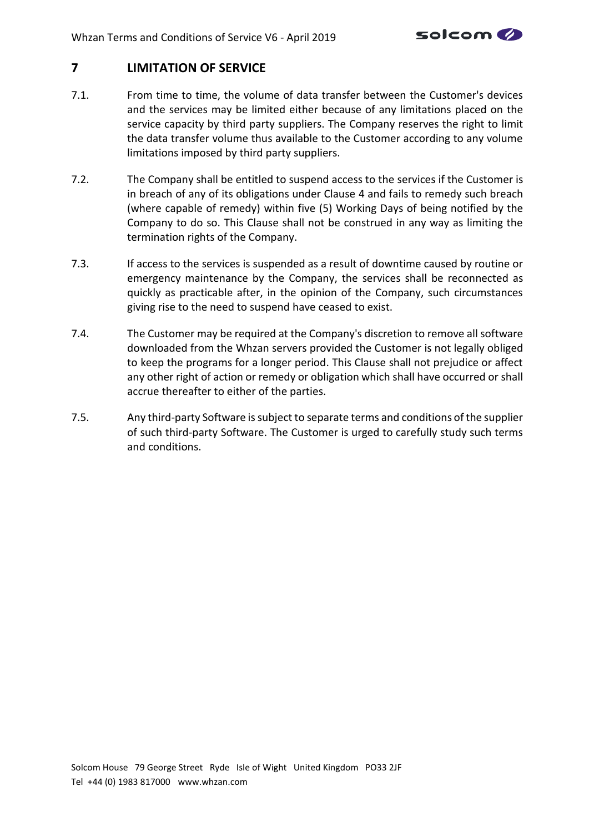

# **7 LIMITATION OF SERVICE**

- 7.1. From time to time, the volume of data transfer between the Customer's devices and the services may be limited either because of any limitations placed on the service capacity by third party suppliers. The Company reserves the right to limit the data transfer volume thus available to the Customer according to any volume limitations imposed by third party suppliers.
- 7.2. The Company shall be entitled to suspend access to the services if the Customer is in breach of any of its obligations under Clause [4](#page-6-0) and fails to remedy such breach (where capable of remedy) within five (5) Working Days of being notified by the Company to do so. This Clause shall not be construed in any way as limiting the termination rights of the Company.
- 7.3. If access to the services is suspended as a result of downtime caused by routine or emergency maintenance by the Company, the services shall be reconnected as quickly as practicable after, in the opinion of the Company, such circumstances giving rise to the need to suspend have ceased to exist.
- 7.4. The Customer may be required at the Company's discretion to remove all software downloaded from the Whzan servers provided the Customer is not legally obliged to keep the programs for a longer period. This Clause shall not prejudice or affect any other right of action or remedy or obligation which shall have occurred or shall accrue thereafter to either of the parties.
- 7.5. Any third-party Software is subject to separate terms and conditions of the supplier of such third-party Software. The Customer is urged to carefully study such terms and conditions.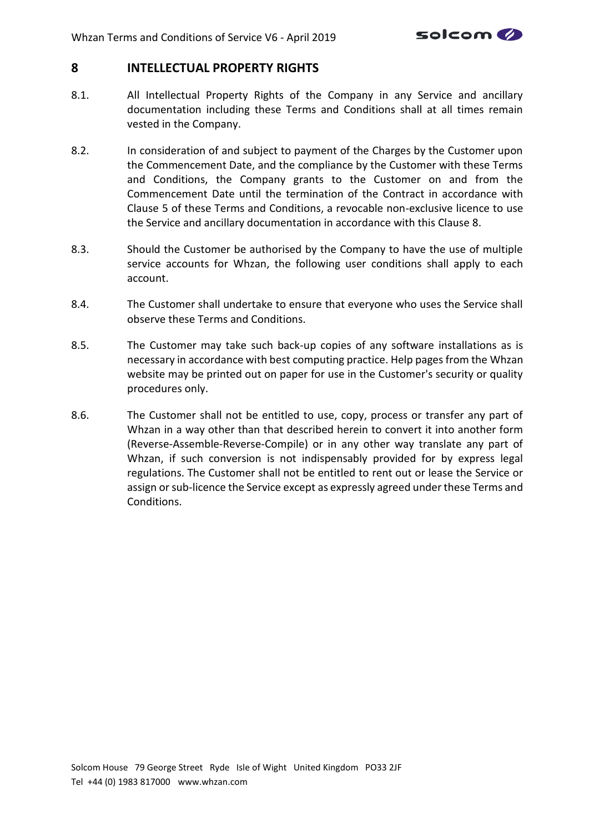

#### <span id="page-12-0"></span>**8 INTELLECTUAL PROPERTY RIGHTS**

- 8.1. All Intellectual Property Rights of the Company in any Service and ancillary documentation including these Terms and Conditions shall at all times remain vested in the Company.
- 8.2. In consideration of and subject to payment of the Charges by the Customer upon the Commencement Date, and the compliance by the Customer with these Terms and Conditions, the Company grants to the Customer on and from the Commencement Date until the termination of the Contract in accordance with Clause [5](#page-9-1) of these Terms and Conditions, a revocable non-exclusive licence to use the Service and ancillary documentation in accordance with this Clause [8.](#page-12-0)
- 8.3. Should the Customer be authorised by the Company to have the use of multiple service accounts for Whzan, the following user conditions shall apply to each account.
- 8.4. The Customer shall undertake to ensure that everyone who uses the Service shall observe these Terms and Conditions.
- 8.5. The Customer may take such back-up copies of any software installations as is necessary in accordance with best computing practice. Help pages from the Whzan website may be printed out on paper for use in the Customer's security or quality procedures only.
- 8.6. The Customer shall not be entitled to use, copy, process or transfer any part of Whzan in a way other than that described herein to convert it into another form (Reverse-Assemble-Reverse-Compile) or in any other way translate any part of Whzan, if such conversion is not indispensably provided for by express legal regulations. The Customer shall not be entitled to rent out or lease the Service or assign or sub-licence the Service except as expressly agreed under these Terms and Conditions.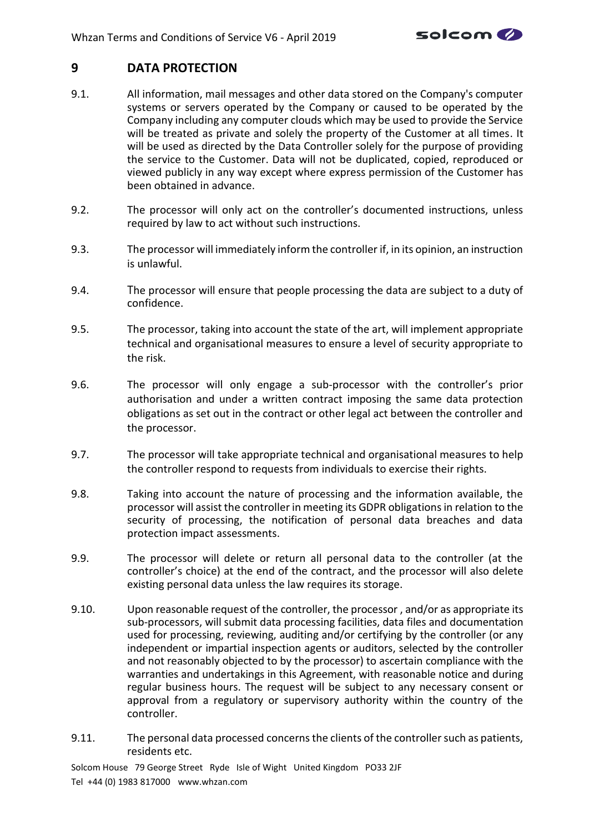

# **9 DATA PROTECTION**

- 9.1. All information, mail messages and other data stored on the Company's computer systems or servers operated by the Company or caused to be operated by the Company including any computer clouds which may be used to provide the Service will be treated as private and solely the property of the Customer at all times. It will be used as directed by the Data Controller solely for the purpose of providing the service to the Customer. Data will not be duplicated, copied, reproduced or viewed publicly in any way except where express permission of the Customer has been obtained in advance.
- 9.2. The processor will only act on the controller's documented instructions, unless required by law to act without such instructions.
- 9.3. The processor will immediately inform the controller if, in its opinion, an instruction is unlawful.
- 9.4. The processor will ensure that people processing the data are subject to a duty of confidence.
- 9.5. The processor, taking into account the state of the art, will implement appropriate technical and organisational measures to ensure a level of security appropriate to the risk.
- 9.6. The processor will only engage a sub-processor with the controller's prior authorisation and under a written contract imposing the same data protection obligations as set out in the contract or other legal act between the controller and the processor.
- 9.7. The processor will take appropriate technical and organisational measures to help the controller respond to requests from individuals to exercise their rights.
- 9.8. Taking into account the nature of processing and the information available, the processor will assist the controller in meeting its GDPR obligations in relation to the security of processing, the notification of personal data breaches and data protection impact assessments.
- 9.9. The processor will delete or return all personal data to the controller (at the controller's choice) at the end of the contract, and the processor will also delete existing personal data unless the law requires its storage.
- 9.10. Upon reasonable request of the controller, the processor , and/or as appropriate its sub-processors, will submit data processing facilities, data files and documentation used for processing, reviewing, auditing and/or certifying by the controller (or any independent or impartial inspection agents or auditors, selected by the controller and not reasonably objected to by the processor) to ascertain compliance with the warranties and undertakings in this Agreement, with reasonable notice and during regular business hours. The request will be subject to any necessary consent or approval from a regulatory or supervisory authority within the country of the controller.
- 9.11. The personal data processed concerns the clients of the controller such as patients, residents etc.

Solcom House 79 George Street Ryde Isle of Wight United Kingdom PO33 2JF Tel +44 (0) 1983 817000 www.whzan.com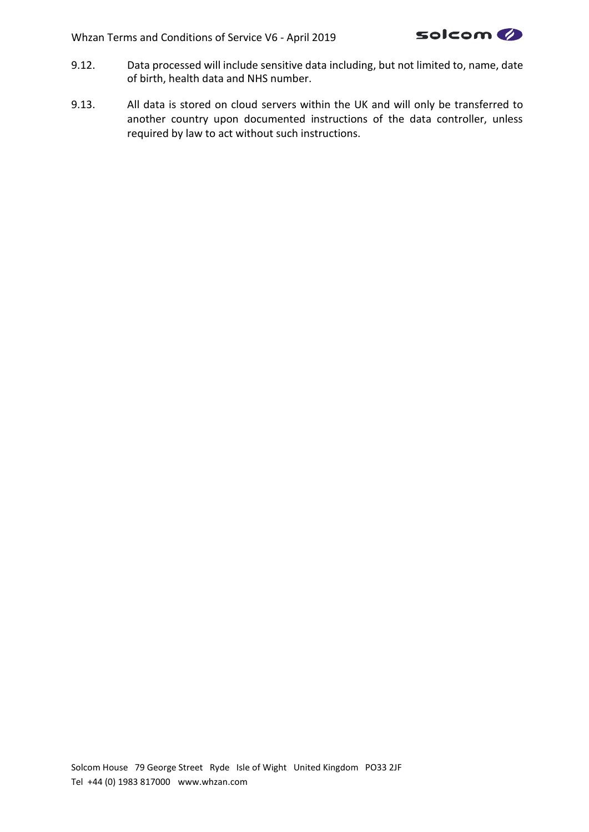

- 9.12. Data processed will include sensitive data including, but not limited to, name, date of birth, health data and NHS number.
- 9.13. All data is stored on cloud servers within the UK and will only be transferred to another country upon documented instructions of the data controller, unless required by law to act without such instructions.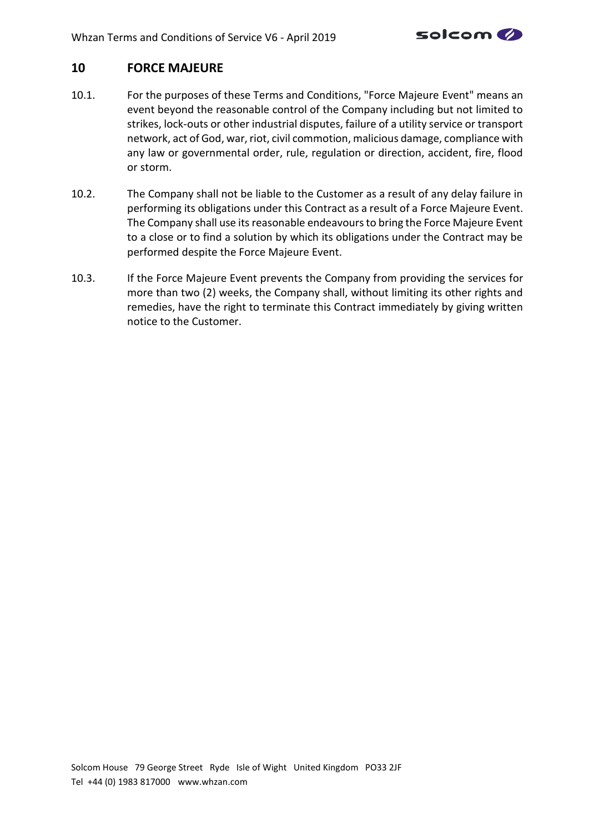

# **10 FORCE MAJEURE**

- <span id="page-15-0"></span>10.1. For the purposes of these Terms and Conditions, "Force Majeure Event" means an event beyond the reasonable control of the Company including but not limited to strikes, lock-outs or other industrial disputes, failure of a utility service or transport network, act of God, war, riot, civil commotion, malicious damage, compliance with any law or governmental order, rule, regulation or direction, accident, fire, flood or storm.
- 10.2. The Company shall not be liable to the Customer as a result of any delay failure in performing its obligations under this Contract as a result of a Force Majeure Event. The Company shall use its reasonable endeavours to bring the Force Majeure Event to a close or to find a solution by which its obligations under the Contract may be performed despite the Force Majeure Event.
- <span id="page-15-1"></span>10.3. If the Force Majeure Event prevents the Company from providing the services for more than two (2) weeks, the Company shall, without limiting its other rights and remedies, have the right to terminate this Contract immediately by giving written notice to the Customer.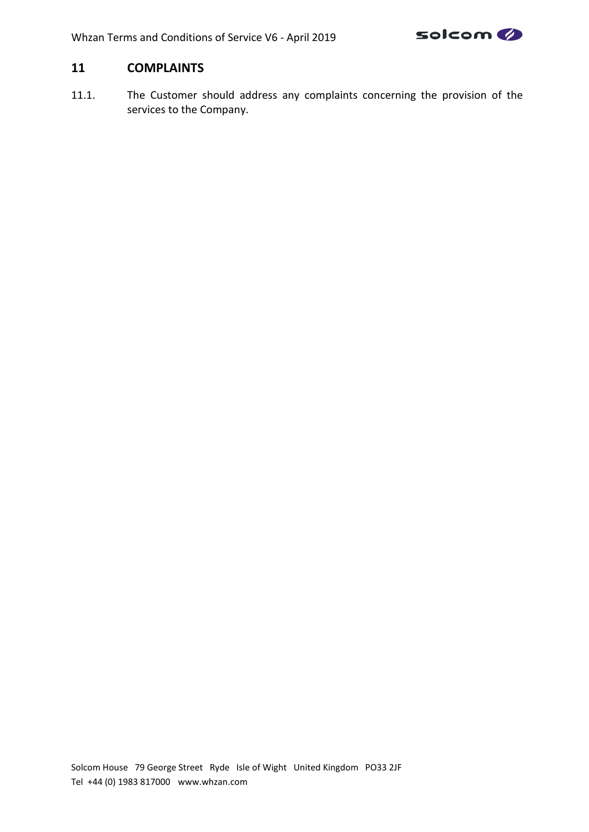

# **11 COMPLAINTS**

11.1. The Customer should address any complaints concerning the provision of the services to the Company.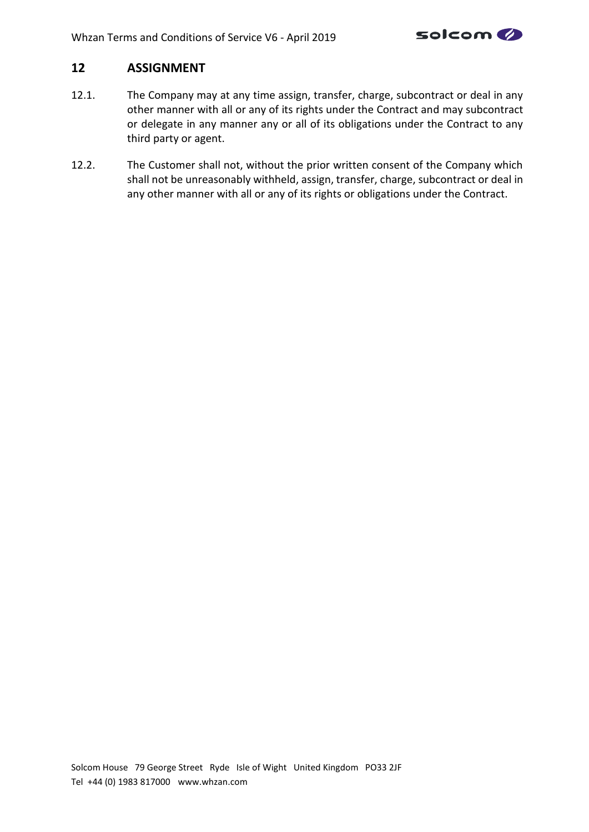

# **12 ASSIGNMENT**

- 12.1. The Company may at any time assign, transfer, charge, subcontract or deal in any other manner with all or any of its rights under the Contract and may subcontract or delegate in any manner any or all of its obligations under the Contract to any third party or agent.
- 12.2. The Customer shall not, without the prior written consent of the Company which shall not be unreasonably withheld, assign, transfer, charge, subcontract or deal in any other manner with all or any of its rights or obligations under the Contract.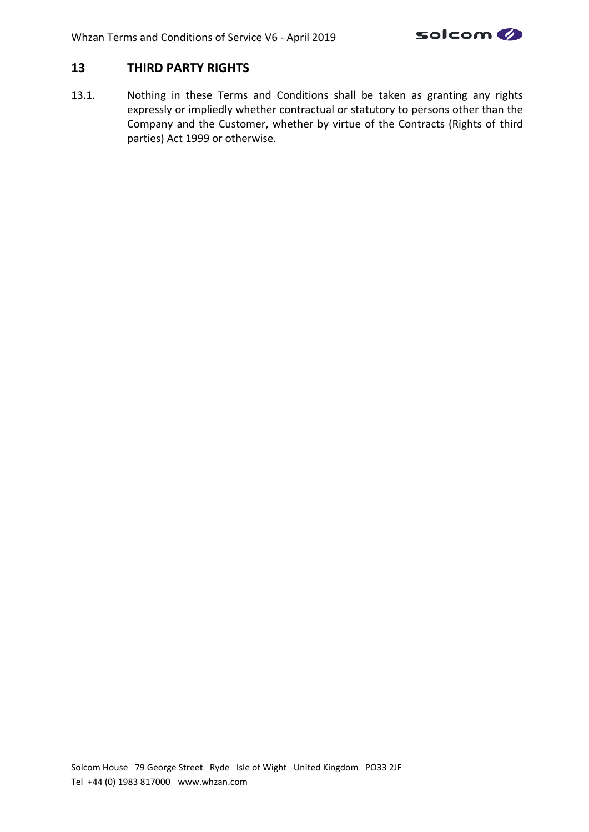

# **13 THIRD PARTY RIGHTS**

13.1. Nothing in these Terms and Conditions shall be taken as granting any rights expressly or impliedly whether contractual or statutory to persons other than the Company and the Customer, whether by virtue of the Contracts (Rights of third parties) Act 1999 or otherwise.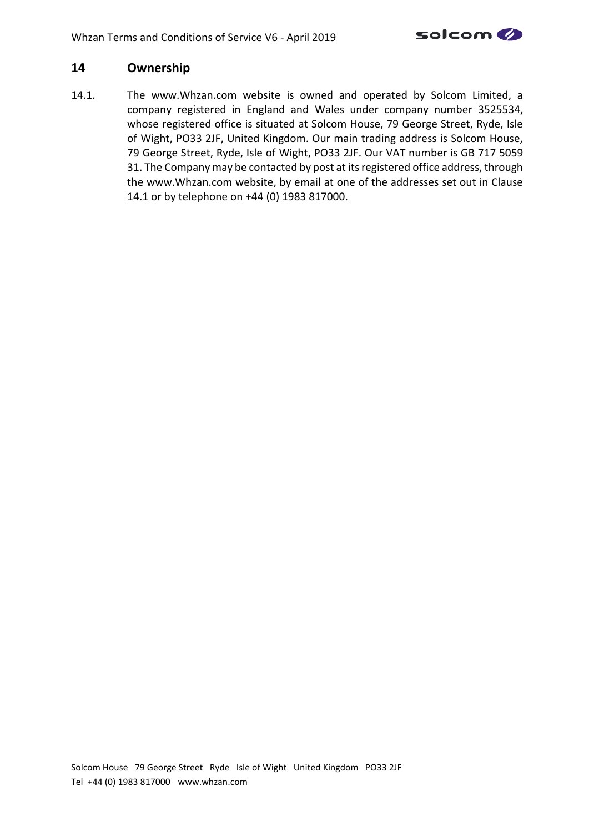

# **14 Ownership**

<span id="page-19-0"></span>14.1. The www.Whzan.com website is owned and operated by Solcom Limited, a company registered in England and Wales under company number 3525534, whose registered office is situated at Solcom House, 79 George Street, Ryde, Isle of Wight, PO33 2JF, United Kingdom. Our main trading address is Solcom House, 79 George Street, Ryde, Isle of Wight, PO33 2JF. Our VAT number is GB 717 5059 31. The Company may be contacted by post at its registered office address, through the www.Whzan.com website, by email at one of the addresses set out in Clause [14.1](#page-19-0) or by telephone on +44 (0) 1983 817000.